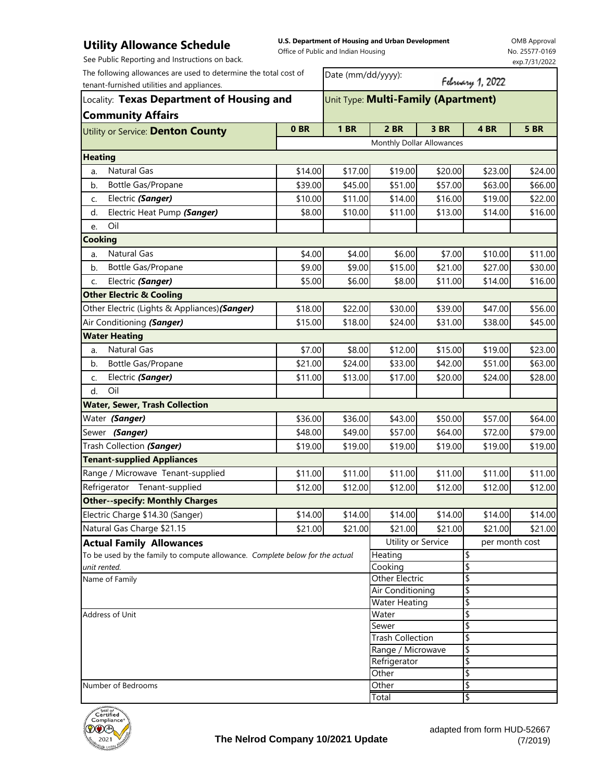## **Utility Allowance Schedule**

**U.S. Department of Housing and Urban Development**  Office of Public and Indian Housing

OMB Approval No. 25577-0169 exp.7/31/2022

See Public Reporting and Instructions on back.

The following allowances are used to determine the total cost of

| Locality: Texas Department of Housing and                                    |                           |                                                                                                                                |                                                                                                                                                                                                           |                    |                                                                                                                                                                                                                             |  |  |  |  |  |
|------------------------------------------------------------------------------|---------------------------|--------------------------------------------------------------------------------------------------------------------------------|-----------------------------------------------------------------------------------------------------------------------------------------------------------------------------------------------------------|--------------------|-----------------------------------------------------------------------------------------------------------------------------------------------------------------------------------------------------------------------------|--|--|--|--|--|
| <b>Community Affairs</b>                                                     |                           |                                                                                                                                |                                                                                                                                                                                                           |                    |                                                                                                                                                                                                                             |  |  |  |  |  |
| 0 <sub>BR</sub>                                                              | <b>1 BR</b>               | 2 BR                                                                                                                           | 3 BR                                                                                                                                                                                                      | 4 BR               | <b>5 BR</b>                                                                                                                                                                                                                 |  |  |  |  |  |
|                                                                              | Monthly Dollar Allowances |                                                                                                                                |                                                                                                                                                                                                           |                    |                                                                                                                                                                                                                             |  |  |  |  |  |
|                                                                              |                           |                                                                                                                                |                                                                                                                                                                                                           |                    |                                                                                                                                                                                                                             |  |  |  |  |  |
|                                                                              |                           | \$19.00                                                                                                                        |                                                                                                                                                                                                           | \$23.00            | \$24.00                                                                                                                                                                                                                     |  |  |  |  |  |
| \$39.00                                                                      |                           | \$51.00                                                                                                                        | \$57.00                                                                                                                                                                                                   | \$63.00            | \$66.00                                                                                                                                                                                                                     |  |  |  |  |  |
| \$10.00                                                                      |                           | \$14.00                                                                                                                        |                                                                                                                                                                                                           | \$19.00            | \$22.00                                                                                                                                                                                                                     |  |  |  |  |  |
| \$8.00                                                                       |                           | \$11.00                                                                                                                        | \$13.00                                                                                                                                                                                                   | \$14.00            | \$16.00                                                                                                                                                                                                                     |  |  |  |  |  |
|                                                                              |                           |                                                                                                                                |                                                                                                                                                                                                           |                    |                                                                                                                                                                                                                             |  |  |  |  |  |
|                                                                              |                           |                                                                                                                                |                                                                                                                                                                                                           |                    |                                                                                                                                                                                                                             |  |  |  |  |  |
| \$4.00                                                                       |                           | \$6.00                                                                                                                         |                                                                                                                                                                                                           | \$10.00            | \$11.00                                                                                                                                                                                                                     |  |  |  |  |  |
| \$9.00                                                                       |                           | \$15.00                                                                                                                        |                                                                                                                                                                                                           | \$27.00            | \$30.00                                                                                                                                                                                                                     |  |  |  |  |  |
|                                                                              |                           | \$8.00                                                                                                                         |                                                                                                                                                                                                           | \$14.00            | \$16.00                                                                                                                                                                                                                     |  |  |  |  |  |
|                                                                              |                           |                                                                                                                                |                                                                                                                                                                                                           |                    |                                                                                                                                                                                                                             |  |  |  |  |  |
|                                                                              |                           | \$30.00                                                                                                                        |                                                                                                                                                                                                           | \$47.00            | \$56.00                                                                                                                                                                                                                     |  |  |  |  |  |
|                                                                              |                           | \$24.00                                                                                                                        |                                                                                                                                                                                                           | \$38.00            | \$45.00                                                                                                                                                                                                                     |  |  |  |  |  |
|                                                                              |                           |                                                                                                                                |                                                                                                                                                                                                           |                    |                                                                                                                                                                                                                             |  |  |  |  |  |
|                                                                              |                           | \$12.00                                                                                                                        |                                                                                                                                                                                                           | \$19.00            | \$23.00                                                                                                                                                                                                                     |  |  |  |  |  |
| \$21.00                                                                      |                           | \$33.00                                                                                                                        | \$42.00                                                                                                                                                                                                   | \$51.00            | \$63.00                                                                                                                                                                                                                     |  |  |  |  |  |
| \$11.00                                                                      | \$13.00                   | \$17.00                                                                                                                        | \$20.00                                                                                                                                                                                                   | \$24.00            | \$28.00                                                                                                                                                                                                                     |  |  |  |  |  |
|                                                                              |                           |                                                                                                                                |                                                                                                                                                                                                           |                    |                                                                                                                                                                                                                             |  |  |  |  |  |
|                                                                              |                           |                                                                                                                                |                                                                                                                                                                                                           |                    |                                                                                                                                                                                                                             |  |  |  |  |  |
|                                                                              |                           | \$43.00                                                                                                                        |                                                                                                                                                                                                           | \$57.00            | \$64.00                                                                                                                                                                                                                     |  |  |  |  |  |
|                                                                              |                           | \$57.00                                                                                                                        |                                                                                                                                                                                                           | \$72.00            | \$79.00                                                                                                                                                                                                                     |  |  |  |  |  |
|                                                                              |                           | \$19.00                                                                                                                        |                                                                                                                                                                                                           | \$19.00            | \$19.00                                                                                                                                                                                                                     |  |  |  |  |  |
|                                                                              |                           |                                                                                                                                |                                                                                                                                                                                                           |                    |                                                                                                                                                                                                                             |  |  |  |  |  |
|                                                                              |                           | \$11.00                                                                                                                        |                                                                                                                                                                                                           | \$11.00            | \$11.00                                                                                                                                                                                                                     |  |  |  |  |  |
|                                                                              |                           | \$12.00                                                                                                                        |                                                                                                                                                                                                           | \$12.00            | \$12.00                                                                                                                                                                                                                     |  |  |  |  |  |
|                                                                              |                           |                                                                                                                                |                                                                                                                                                                                                           |                    |                                                                                                                                                                                                                             |  |  |  |  |  |
|                                                                              |                           | \$14.00                                                                                                                        |                                                                                                                                                                                                           | \$14.00            | \$14.00                                                                                                                                                                                                                     |  |  |  |  |  |
|                                                                              |                           | \$21.00                                                                                                                        |                                                                                                                                                                                                           | \$21.00            | \$21.00                                                                                                                                                                                                                     |  |  |  |  |  |
| <b>Actual Family Allowances</b>                                              |                           |                                                                                                                                |                                                                                                                                                                                                           | per month cost     |                                                                                                                                                                                                                             |  |  |  |  |  |
| To be used by the family to compute allowance. Complete below for the actual |                           |                                                                                                                                |                                                                                                                                                                                                           | \$                 |                                                                                                                                                                                                                             |  |  |  |  |  |
| unit rented.<br>Name of Family                                               |                           |                                                                                                                                |                                                                                                                                                                                                           |                    |                                                                                                                                                                                                                             |  |  |  |  |  |
|                                                                              |                           | Cooking                                                                                                                        |                                                                                                                                                                                                           | \$                 |                                                                                                                                                                                                                             |  |  |  |  |  |
|                                                                              |                           | Other Electric<br>Air Conditioning                                                                                             |                                                                                                                                                                                                           | \$<br>\$           |                                                                                                                                                                                                                             |  |  |  |  |  |
|                                                                              |                           | \$14.00<br>\$5.00<br>\$18.00<br>\$15.00<br>\$7.00<br>\$36.00<br>\$48.00<br>\$19.00<br>\$11.00<br>\$12.00<br>\$14.00<br>\$21.00 | \$17.00<br>\$45.00<br>\$11.00<br>\$10.00<br>\$4.00<br>\$9.00<br>\$6.00<br>\$22.00<br>\$18.00<br>\$8.00<br>\$24.00<br>\$36.00<br>\$49.00<br>\$19.00<br>\$11.00<br>\$12.00<br>\$14.00<br>\$21.00<br>Heating | Utility or Service | February 1, 2022<br>Unit Type: Multi-Family (Apartment)<br>\$20.00<br>\$16.00<br>\$7.00<br>\$21.00<br>\$11.00<br>\$39.00<br>\$31.00<br>\$15.00<br>\$50.00<br>\$64.00<br>\$19.00<br>\$11.00<br>\$12.00<br>\$14.00<br>\$21.00 |  |  |  |  |  |

Address of Unit

Total Other \ Number of Bedrooms **SALLACE IN THE SECOND SECOND SECOND SECOND SECOND SECOND SECOND SECOND SECOND SECOND SECOND SECOND SECOND SECOND SECOND SECOND SECOND SECOND SECOND SECOND SECOND SECOND SECOND SECOND SECOND SECOND SECON** Range / Microwave \$ Refrigerator \$



\$ \$ \$

\$

Water Sewer

Trash Collection